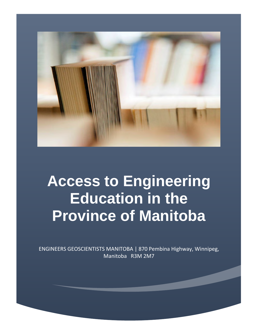

# **Access to Engineering Education in the Province of Manitoba**

ENGINEERS GEOSCIENTISTS MANITOBA | 870 Pembina Highway, Winnipeg, Manitoba R3M 2M7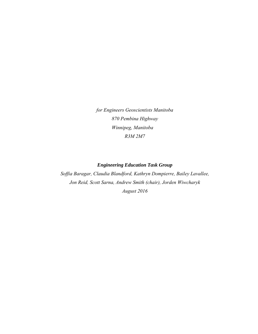*for Engineers Geoscientists Manitoba 870 Pembina Highway Winnipeg, Manitoba R3M 2M7* 

## *Engineering Education Task Group*

*Soffia Baragar, Claudia Blandford, Kathryn Dompierre, Bailey Lavallee, Jon Reid, Scott Sarna, Andrew Smith (chair), Jorden Wiwcharyk August 2016*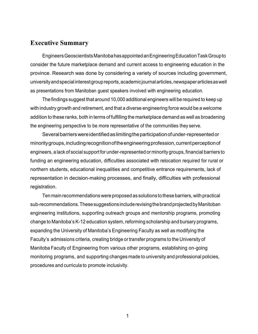# **Executive Summary**

Engineers Geoscientists Manitoba has appointed an Engineering Education Task Group to consider the future marketplace demand and current access to engineering education in the province. Research was done by considering a variety of sources including government, university and special interest group reports, academic journal articles, newspaper articles as well as presentations from Manitoban guest speakers involved with engineering education.

The findings suggest that around 10,000 additional engineers will be required to keep up with industry growth and retirement, and that a diverse engineering force would be a welcome addition to these ranks, both in terms of fulfilling the marketplace demand as well as broadening the engineering perspective to be more representative of the communities they serve.

Several barriers were identified as limiting the participation of under-represented or minority groups, including recognition of the engineering profession, current perception of engineers, a lack of social support for under-represented or minority groups, financial barriers to funding an engineering education, difficulties associated with relocation required for rural or northern students, educational inequalities and competitive entrance requirements, lack of representation in decision-making processes, and finally, difficulties with professional registration.

Ten main recommendations were proposed as solutions to these barriers, with practical sub-recommendations. These suggestions include revising the brand projected by Manitoban engineering institutions, supporting outreach groups and mentorship programs, promoting change to Manitoba's K-12 education system, reforming scholarship and bursary programs, expanding the University of Manitoba's Engineering Faculty as well as modifying the Faculty's admissions criteria, creating bridge or transfer programs to the University of Manitoba Faculty of Engineering from various other programs, establishing on-going monitoring programs, and supporting changes made to university and professional policies, procedures and curricula to promote inclusivity.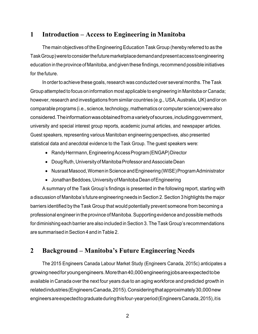# **1 Introduction – Access to Engineering in Manitoba**

The main objectives of the Engineering Education Task Group (hereby referred to as the Task Group) were to consider the future marketplace demand and present access to engineering education in the province of Manitoba, and given these findings, recommend possible initiatives for the future.

In order to achieve these goals, research was conducted over several months. The Task Group attempted to focus on information most applicable to engineering in Manitoba or Canada; however, research and investigations from similar countries (e.g., USA, Australia, UK) and/or on comparable programs (i.e., science, technology, mathematics or computer science) were also considered. The information was obtained from a variety of sources, including government, university and special interest group reports, academic journal articles, and newspaper articles. Guest speakers, representing various Manitoban engineering perspectives, also presented statistical data and anecdotal evidence to the Task Group. The guest speakers were:

- Randy Herrmann, Engineering Access Program (ENGAP) Director
- Doug Ruth, University of Manitoba Professor and Associate Dean
- Nusraat Masood, Women in Science and Engineering (WISE) Program Administrator
- Jonathan Beddoes, University of Manitoba Dean of Engineering

A summary of the Task Group's findings is presented in the following report, starting with a discussion of Manitoba's future engineering needs in Section 2. Section 3 highlights the major barriers identified by the Task Group that would potentially prevent someone from becoming a professional engineer in the province of Manitoba. Supporting evidence and possible methods for diminishing each barrier are also included in Section 3. The Task Group's recommendations are summarised in Section 4 and in Table 2.

# **2 Background – Manitoba's Future Engineering Needs**

The 2015 Engineers Canada Labour Market Study (Engineers Canada, 2015c) anticipates a growing need for young engineers. More than 40,000 engineering jobs are expected to be available in Canada over the next four years due to an aging workforce and predicted growth in related industries (Engineers Canada, 2015). Considering that approximately 30,000 new engineers are expected to graduate during this four-year period (Engineers Canada, 2015), itis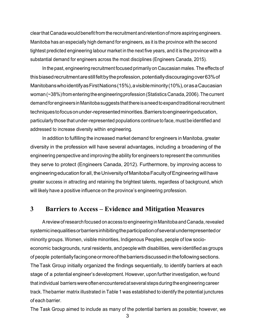clear that Canada would benefit from the recruitment and retention of more aspiring engineers. Manitoba has an especially high demand for engineers, as it is the province with the second tightest predicted engineering labour market in the next five years, and it is the province with a substantial demand for engineers across the most disciplines (Engineers Canada, 2015).

In the past, engineering recruitment focused primarily on Caucasian males. The effects of this biased recruitment are still felt by the profession, potentially discouraging over 63% of Manitobans who identify as First Nations (15%), a visible minority (10%), oras a Caucasian woman (~38%) from entering the engineering profession (Statistics Canada, 2006). The current demand for engineers in Manitoba suggests that there is a needto expand traditional recruitment techniques to focus on under-represented minorities. Barriers to engineering education, particularly those that under-represented populations continue to face, must be identified and addressed to increase diversity within engineering.

In addition to fulfilling the increased market demand for engineers in Manitoba, greater diversity in the profession will have several advantages, including a broadening of the engineering perspective and improving the ability for engineers to represent the communities they serve to protect (Engineers Canada, 2012). Furthermore, by improving access to engineering education for all, the University of Manitoba Faculty of Engineering will have greater success in attracting and retaining the brightest talents, regardless of background, which will likely have a positive influence on the province's engineering profession.

# **3 Barriers to Access – Evidence and Mitigation Measures**

A review of research focused on access to engineering in Manitoba and Canada, revealed systemic inequalities or barriers inhibiting the participation of several underrepresented or minority groups. Women, visible minorities, Indigenous Peoples, people of low socioeconomic backgrounds, rural residents, and people with disabilities, were identified as groups of people potentially facing oneor more of the barriers discussed in the following sections. The Task Group initially organized the findings sequentially, to identify barriers at each stage of a potential engineer's development. However, upon further investigation, we found that individual barriers were often encountered at several steps during the engineering career track. The barrier matrix illustrated in Table 1 was established to identify the potential junctures of each barrier.

The Task Group aimed to include as many of the potential barriers as possible; however, we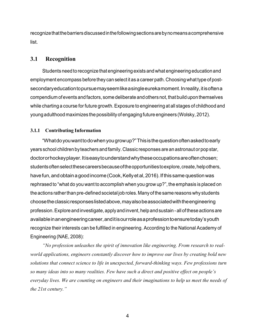recognize that the barriers discussed in the following sections are byno means a comprehensive list.

# **3.1 Recognition**

Students need to recognize that engineering exists and what engineering education and employment encompass before they can select it as a career path. Choosing what type of postsecondary education to pursue may seem like a single eureka moment. In reality, itis often a compendium of events and factors, some deliberate and others not, that build upon themselves while charting a course for future growth. Exposure to engineering at all stages of childhood and young adulthood maximizes the possibility of engaging future engineers (Wolsky, 2012).

#### **3.1.1 Contributing Information**

"What do you want todo when you grow up?" This is the question often asked to early years school children by teachers and family. Classic responses are an astronaut or pop star, doctor or hockey player. Itis easy to understand why these occupations are often chosen; students often select these careers because of the opportunities to explore, create, help others, have fun, and obtain a good income (Cook, Kelly et al, 2016). If this same question was rephrased to "what do you want to accomplish when you grow up?", the emphasis is placed on the actions rather than pre-defined societal job roles. Many of the same reasons why students choose the classic responses listed above, may also be associated with the engineering profession. Explore and investigate, apply and invent, help and sustain - all of these actions are available inan engineering career, and itisour role as a profession to ensure today's youth recognize their interests can be fulfilled in engineering. According to the National Academy of Engineering (NAE, 2008):

*"No profession unleashes the spirit of innovation like engineering. From research to realworld applications, engineers constantly discover how to improve our lives by creating bold new solutions that connect science to life in unexpected, forward-thinking ways. Few professions turn so many ideas into so many realities. Few have such a direct and positive effect on people's everyday lives. We are counting on engineers and their imaginations to help us meet the needs of the 21st century."*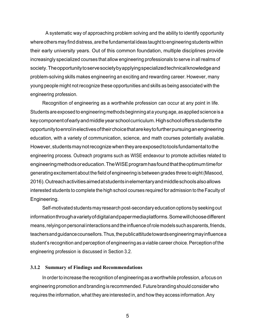A systematic way of approaching problem solving and the ability to identify opportunity where others may find distress, are the fundamental ideas taught to engineering students within their early university years. Out of this common foundation, multiple disciplines provide increasingly specialized courses that allow engineering professionals to serve in all realms of society. The opportunity to serve society by applying specialized technical knowledge and problem-solving skills makes engineering an exciting and rewarding career. However, many young people might not recognize these opportunities and skills as being associated with the engineering profession.

Recognition of engineering as a worthwhile profession can occur at any point in life. Students are exposed to engineering methods beginning at a young age, as applied science is a key component of early and middle year school curriculum. High school offers students the opportunity to enrol in electives of their choice that are key to further pursuing an engineering education, with a variety of communication, science, and math courses potentially available. However, students may not recognize when they are exposed to tools fundamental to the engineering process. Outreach programs such as WISE endeavour to promote activities related to engineering methods or education. The WISE program has found that the optimum time for generating excitement about the field of engineering is between grades three to eight (Masood, 2016). Outreach activities aimed at students in elementary and middle schools also allows interested students to complete the high school courses required for admission to the Faculty of Engineering.

Self-motivated students may research post-secondary education options by seeking out information through a variety of digitaland paper media platforms. Some will choose different means, relying on personal interactions and the influence of role models such as parents, friends, teachers and guidance counsellors. Thus, the public attitude towards engineering may influence a student's recognition and perception of engineering as a viable career choice. Perception of the engineering profession is discussed in Section 3.2.

#### **3.1.2 Summary of Findings and Recommendations**

In order to increase the recognition of engineering as a worthwhile profession, a focus on engineering promotion and branding is recommended. Future branding should consider who requires the information, what they are interested in, and how they access information. Any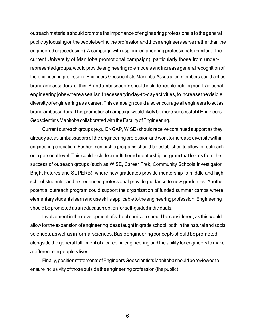outreach materials should promote the importance of engineering professionals to the general public by focusing on the people behind the profession and those engineers serve (rather than the engineered object/design). A campaign with aspiring engineering professionals (similar to the current University of Manitoba promotional campaign), particularly those from underrepresented groups, would provide engineering role models and increase general recognition of the engineering profession. Engineers Geoscientists Manitoba Association members could act as brand ambassadors for this. Brand ambassadors should include people holding non-traditional engineering jobs where a seal isn't necessary inday-to-day activities, to increase the visible diversity of engineering as a career. This campaign could also encourage all engineers to act as brand ambassadors. This promotional campaign would likely be more successful if Engineers Geoscientists Manitoba collaborated with the Faculty of Engineering.

Current outreach groups (e.g., ENGAP, WISE) should receive continued support as they already act as ambassadors of the engineering profession and work to increase diversity within engineering education. Further mentorship programs should be established to allow for outreach on a personal level. This could include a multi-tiered mentorship program that learns from the success of outreach groups (such as WISE, Career Trek, Community Schools Investigator, Bright Futures and SUPERB), where new graduates provide mentorship to middle and high school students, and experienced professional provide guidance to new graduates. Another potential outreach program could support the organization of funded summer camps where elementary students learn and use skills applicable to the engineering profession. Engineering should be promoted as an education option for self-guided individuals.

Involvement in the development of school curricula should be considered, as this would allow for the expansion of engineering ideas taught in grade school, both in the natural and social sciences, as well asin formal sciences. Basic engineering concepts should be promoted, alongside the general fulfillment of a career in engineering and the ability for engineers to make a difference in people's lives.

Finally, position statements of Engineers Geoscientists Manitoba should be reviewed to ensure inclusivity of those outside the engineering profession (the public).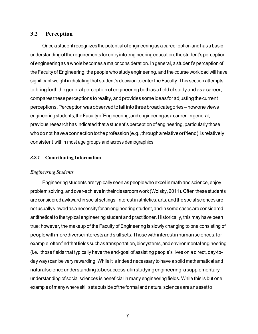# **3.2 Perception**

Once a student recognizes the potential of engineering as a career option and has a basic understanding of the requirements for entry into engineering education, the student's perception of engineering as a whole becomes a major consideration. In general, a student's perception of the Faculty of Engineering, the people who study engineering, and the course workload will have significant weight in dictating that student's decision to enter the Faculty. This section attempts to bring forth the general perception of engineering both as a field of study and as a career, compares these perceptions to reality, and provides some ideas for adjusting the current perceptions. Perception was observed to fall into three broad categories – howone views engineering students, the Faculty of Engineering, and engineering as a career. In general, previous research has indicated that a student's perception of engineering, particularly those who do not have a connection to the profession (e.g., through a relative or friend), is relatively consistent within most age groups and across demographics.

## *3.2.1* **Contributing Information**

## *Engineering Students*

Engineering students are typically seen as people who excel in math and science, enjoy problem solving, and over-achieve in their classroom work (Wolsky, 2011). Often these students are considered awkward in social settings. Interest in athletics, arts, and the social sciences are not usually viewed as a necessity for an engineering student, andin some cases are considered antithetical to the typical engineering student and practitioner. Historically, this may have been true; however, the makeup of the Faculty of Engineering is slowly changing to one consisting of people with more diverse interests and skill sets. Those with interest in human sciences, for example, often find that fields such as transportation, biosystems, and environmental engineering (i.e., those fields that typically have the end-goal of assisting people's lives on a direct, day-today way) can be very rewarding. While it is indeed necessary to have a solid mathematical and natural science understanding tobe successful in studying engineering, a supplementary understanding of social sciences is beneficial in many engineering fields. While this is but one example of many where skill sets outside of the formal and natural sciences are an asset to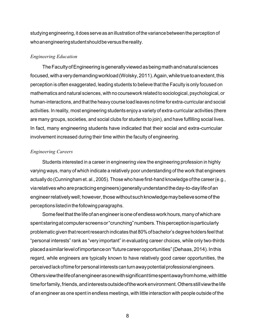studying engineering, it does serve as an illustration of the variance between the perception of who an engineering student should be versus the reality.

#### *Engineering Education*

The Faculty of Engineering is generally viewed as being math and natural sciences focused, with a very demanding workload (Wolsky, 2011). Again, while true toan extent, this perception is often exaggerated, leading students to believe that the Faculty is only focused on mathematics and natural sciences, with no coursework related to sociological, psychological, or human-interactions, and that the heavy course load leaves no time for extra-curricular and social activities. In reality, most engineering students enjoy a variety of extra-curricular activities (there are many groups, societies, and social clubs for students to join), and have fulfilling social lives. In fact, many engineering students have indicated that their social and extra-curricular involvement increased during their time within the faculty of engineering.

#### *Engineering Careers*

Students interested in a career in engineering view the engineering profession in highly varying ways, many of which indicate a relatively poor understanding of the work that engineers actually do (Cunningham et. al., 2005). Those who have first-hand knowledge of the career (e.g., via relatives who are practicing engineers) generally understand the day-to-day life ofan engineer relatively well; however, those without such knowledge may believe some of the perceptions listed in the following paragraphs.

Some feel that the life ofan engineer is one of endless work hours, many of which are spent staring at computer screens or "crunching" numbers. This perception isparticularly problematic given that recent research indicates that 80%of bachelor's degree holders feel that "personal interests" rank as "very important" in evaluating career choices, while only two-thirds placed a similar level of importance on "future career opportunities" (Dehaas, 2014). In this regard, while engineers are typically known to have relatively good career opportunities, the perceived lack of time for personal interests can turn away potential professional engineers. Others view the life ofanengineer as one with significant time spent away from home, with little time for family, friends, and interests outside of the work environment. Others still view the life of an engineer as one spent in endless meetings, with little interaction with people outside of the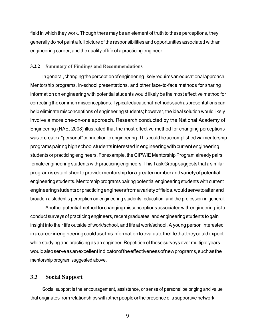field in which they work. Though there may be an element of truth to these perceptions, they generally do not paint a full picture of the responsibilities and opportunities associated with an engineering career, and the quality of life of a practicing engineer.

#### **3.2.2 Summary of Findings and Recommendations**

In general, changing the perception of engineering likely requires an educational approach. Mentorship programs, in-school presentations, and other face-to-face methods for sharing information on engineering with potential students would likely be the most effective method for correcting the common misconceptions. Typical educational methods such as presentations can help eliminate misconceptions of engineering students; however, the ideal solution would likely involve a more one-on-one approach. Research conducted by the National Academy of Engineering (NAE, 2008) illustrated that the most effective method for changing perceptions was to create a "personal" connection to engineering. This could be accomplished via mentorship programs pairing high school students interested in engineering with current engineering students or practicing engineers. For example, the CIPWIE Mentorship Program already pairs female engineering students with practicing engineers. This Task Group suggests that a similar program is established to provide mentorship for a greater number and variety of potential engineering students. Mentorship programs pairing potential engineering students with current engineering students or practicing engineers from a variety of fields, would serve to alter and broaden a student's perception on engineering students, education, and the profession in general.

Another potential method for changing misconceptions associated with engineering, is to conduct surveys of practicing engineers, recent graduates, and engineering students to gain insight into their life outside of work/school, and life at work/school. A young person interested in a career in engineering could use this information to evaluate the life that they could expect while studying and practicing as an engineer. Repetition of these surveys over multiple years would also serve asan excellent indicator of the effectiveness ofnew programs, such as the mentorship program suggested above.

## **3.3 Social Support**

Social support is the encouragement, assistance, or sense of personal belonging and value that originates from relationships with other people or the presence of a supportive network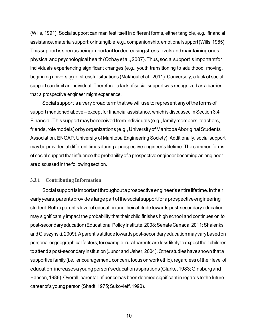(Wills, 1991). Social support can manifest itself in different forms, either tangible, e.g., financial assistance, material support; or intangible, e.g., companionship, emotional support (Wills, 1985). This support is seen as being important for decreasing stress levels and maintaining ones physical and psychological health (Ozbay et al., 2007). Thus, social support is important for individuals experiencing significant changes (e.g., youth transitioning to adulthood, moving, beginning university) or stressful situations (Makhoul et al., 2011). Conversely, a lack of social support can limit an individual. Therefore, a lack of social support was recognized as a barrier that a prospective engineer might experience.

Social support is a very broad term that we will use to represent any of the forms of support mentioned above – except for financial assistance, which is discussed in Section 3.4 Financial. This support may be received from individuals (e.g., family members, teachers, friends, role models) orby organizations (e.g., University of Manitoba Aboriginal Students Association, ENGAP, University of Manitoba Engineering Society). Additionally, social support may be provided at different times during a prospective engineer's lifetime. The common forms of social support that influence the probability of a prospective engineer becoming an engineer are discussed in the following section.

#### **3.3.1 Contributing Information**

Social support is important throughout a prospective engineer's entire lifetime. In their early years, parents provide a large part of the social support for a prospective engineering student. Both a parent's level of education and their attitude towards post-secondary education may significantly impact the probability that their child finishes high school and continues on to post-secondary education (Educational Policy Institute, 2008; Senate Canada, 2011; Shaienks and Gluszynski, 2009). A parent's attitude towards post-secondary education may vary based on personal or geographical factors; for example, rural parents are less likely to expect their children to attend a post-secondary institution (Junor and Usher, 2004). Other studies have shown that a supportive family (i.e., encouragement, concern, focus on work ethic), regardless of their level of education, increases a young person's education aspirations (Clarke, 1983; Ginsburg and Hanson, 1986). Overall, parental influence has been deemed significant in regards to the future career of a young person (Shadt, 1975; Sukovieff, 1990).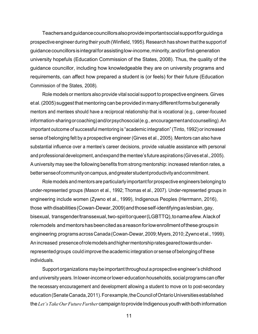Teachers and guidance councillors also provide important social support for guiding a prospective engineer during their youth (Winfield, 1995). Research has shown that the support of guidance councillors is integral for assisting low-income, minority, and/or first-generation university hopefuls (Education Commission of the States, 2008). Thus, the quality of the guidance councillor, including how knowledgeable they are on university programs and requirements, can affect how prepared a student is (or feels) for their future (Education Commission of the States, 2008).

Role models or mentors also provide vital social support to prospective engineers. Girves et al. (2005) suggest that mentoring can be provided in many different forms but generally mentors and mentees should have a reciprocal relationship that is vocational (e.g., career-focused information-sharing or coaching) and/or psychosocial (e.g., encouragement and counselling). An important outcome of successful mentoring is "academic integration" (Tinto, 1992) or increased sense of belonging felt by a prospective engineer (Girves et al., 2005). Mentors can also have substantial influence over a mentee's career decisions, provide valuable assistance with personal and professional development, and expand the mentee's future aspirations (Girves et al., 2005). A university may see the following benefits from strong mentorship: increased retention rates, a better sense of community on campus, and greater student productivity and commitment.

Role models and mentors are particularly important for prospective engineers belonging to under-represented groups (Mason et al., 1992; Thomas et al., 2007). Under-represented groups in engineering include women (Zywno et al., 1999), Indigenous Peoples (Herrmann, 2016), those with disabilities (Cowan-Dewar, 2009) and those self-identifying as lesbian, gay, bisexual, transgender/transsexual, two-spirit or queer (LGBTTQ), to name a few. A lack of role models and mentors has been cited as a reason for low enrollment of these groups in engineering programs across Canada (Cowan-Dewar, 2009; Myers, 2010; Zywno et al., 1999). An increased presence of role models and higher mentorship rates geared towards underrepresented groups could improve the academic integration or sense of belonging of these individuals.

Support organizations may be important throughout a prospective engineer's childhood and university years. In lower-income or lower-education households, social programs can offer the necessary encouragement and development allowing a student to move on to post-secondary education (Senate Canada, 2011). For example, the Council of Ontario Universities established the *Let's Take Our Future Further* campaign to provide Indigenous youth with both information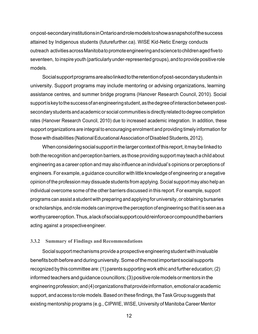on post-secondary institutions in Ontario and role models to show a snapshot of the success attained by Indigenous students (futurefurther.ca). WISE Kid-Netic Energy conducts outreach activities across Manitoba to promote engineering and science to children aged five to seventeen, to inspire youth (particularly under-represented groups), andto provide positive role models.

Social support programs are also linked to the retention of post-secondary students in university. Support programs may include mentoring or advising organizations, learning assistance centres, and summer bridge programs (Hanover Research Council, 2010). Social support is key to the success ofan engineering student, as the degree of interaction between postsecondary students and academic or social communities is directly related to degree completion rates (Hanover Research Council, 2010) due to increased academic integration. In addition, these support organizations are integral to encouraging enrolment and providing timely information for those with disabilities (National Educational Association of Disabled Students, 2012).

When considering social support in the larger context of this report, it may be linked to both the recognition and perception barriers, as those providing support may teach a child about engineering as a career option and may also influence an individual's opinions or perceptions of engineers. For example, a guidance councillor with little knowledge of engineering or a negative opinion of the profession may dissuade students from applying. Social support may also help an individual overcome some of the other barriers discussed in this report. For example, support programs can assist a student with preparing and applying for university, or obtaining bursaries or scholarships, and role models can improve the perception of engineering so that it is seen as a worthy career option. Thus, a lack of social support could reinforce or compound the barriers acting against a prospective engineer.

#### **3.3.2 Summary of Findings and Recommendations**

Social support mechanisms provide a prospective engineering student with invaluable benefits both before and during university. Some of the most important social supports recognized by this committee are: (1) parents supporting work ethic and further education; (2) informed teachers and guidance councillors; (3) positive role models or mentors in the engineering profession; and (4) organizations that provide information, emotional or academic support, and access to role models. Based on these findings, the Task Group suggests that existing mentorship programs (e.g., CIPWIE, WISE, University of Manitoba Career Mentor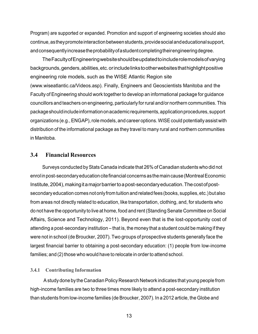Program) are supported or expanded. Promotion and support of engineering societies should also continue, as they promote interaction between students, provide social and educational support, and consequently increase the probability of a student completing their engineering degree.

The Faculty of Engineering website should be updated to include role models of varying backgrounds, genders, abilities, etc. or include links to other websites that highlight positive engineering role models, such as the WISE Atlantic Region site [\(www.wiseatlantic.ca/Videos.asp\).](http://www.wiseatlantic.ca/Videos.asp)) Finally, Engineers and Geoscientists Manitoba and the Faculty of Engineering should work together to develop an informational package for guidance councillors and teachers on engineering, particularly for rural and/or northern communities. This package should include information on academic requirements, application procedures, support organizations (e.g., ENGAP), role models, and career options. WISE could potentially assist with distribution of the informational package as they travel to many rural and northern communities in Manitoba.

## **3.4 Financial Resources**

Surveys conducted by Stats Canada indicate that 26% of Canadian students who did not enrol in post-secondary education cite financial concerns as the main cause (Montreal Economic Institute, 2004), making it a major barrier to a post-secondary education. The cost of postsecondary education comes not only from tuition and related fees (books, supplies, etc.) but also from areas not directly related to education, like transportation, clothing, and, for students who do not have the opportunity to live at home, food and rent (Standing Senate Committee on Social Affairs, Science and Technology, 2011). Beyond even that is the lost-opportunity cost of attending a post-secondary institution – that is, the money that a student could be making if they were not in school (de Broucker, 2007). Two groups of prospective students generally face the largest financial barrier to obtaining a post-secondary education: (1) people from low-income families; and (2) those who would have to relocate in order to attend school.

## **3.4.1 Contributing Information**

A study done by the Canadian Policy Research Network indicates that young people from high-income families are two to three times more likely to attend a post-secondary institution than students from low-income families (de Broucker, 2007). In a 2012 article, the Globe and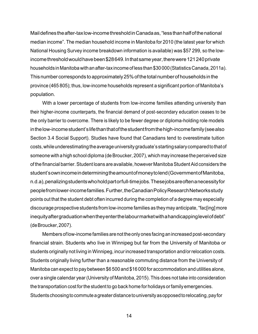Mail defines the after-tax low-income threshold in Canada as, "less than half of the national median income". The median household income in Manitoba for 2010 (the latest year for which National Housing Survey income breakdown information is available) was \$57 299, so the lowincome threshold would have been \$28 649. In that same year, there were 121 240 private households in Manitoba with an after-tax income of less than \$30 000 (Statistics Canada, 2011a). This number corresponds to approximately 25%of the total number ofhouseholds in the province (465 805); thus, low-income households represent a significant portion of Manitoba's population.

With a lower percentage of students from low-income families attending university than their higher-income counterparts, the financial demand of post-secondary education ceases to be the only barrier to overcome. There is likely to be fewer degree or diploma-holding role models in the low-income student's life than that of the student from the high-income family (see also Section 3.4 Social Support). Studies have found that Canadians tend to overestimate tuition costs, while underestimating the average university graduate's starting salary compared to that of someone with a high school diploma (de Broucker, 2007), which may increase the perceived size of the financial barrier. Student loans are available, however Manitoba Student Aid considers the student's own income in determining the amount of money to lend (Government of Manitoba, n.d.a), penalizing students who hold part or full-time jobs. These jobs are often a necessity for people from lower-income families. Further, the Canadian Policy Research Networks study points out that the student debt often incurred during the completion of a degree may especially discourage prospective students from low-income families as they may anticipate, "fac[ing] more inequity after graduation when they enter the labour market with a handicapping level of debt" (de Broucker, 2007).

Members of low-income families are not the only ones facing an increased post-secondary financial strain. Students who live in Winnipeg but far from the University of Manitoba or students originally not living in Winnipeg, incur increased transportation and/or relocation costs. Students originally living further than a reasonable commuting distance from the University of Manitoba can expect to pay between \$6 500 and \$16 000 for accommodation and utilities alone, over a single calendar year (University of Manitoba, 2015). This does not take into consideration the transportation cost for the student to go back home for holidays or family emergencies. Students choosing to commute a greater distance to university as opposed to relocating, pay for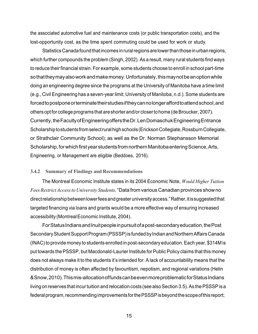the associated automotive fuel and maintenance costs (or public transportation costs), and the lost-opportunity cost, as the time spent commuting could be used for work or study.

Statistics Canada found that incomes in rural regions are lower than those in urban regions, which further compounds the problem (Singh, 2002). As a result, many rural students find ways to reduce their financial strain. For example, some students choose to enroll in school part-time so that they may also work and make money. Unfortunately, this may not be an option while doing an engineering degree since the programs at the University of Manitoba have a time limit (e.g., Civil Engineering has a seven-year limit; University of Manitoba, n.d.). Some students are forced to postpone or terminate their studies if they can no longer afford to attend school, and others opt for college programs that are shorter and/or closer to home (de Broucker, 2007). Currently, the Faculty of Engineering offers the Dr. Len Domaschuk Engineering Entrance Scholarship to students from select rural high schools (Erickson Collegiate, Rossburn Collegiate, or Strathclair Community School); as well as the Dr. Norman Stephansson Memorial Scholarship, for which first year students from northern Manitoba entering Science, Arts, Engineering, or Management are eligible (Beddoes, 2016).

#### **3.4.2 Summary of Findings and Recommendations**

The Montreal Economic Institute states in its 2004 Economic Note, *Would Higher Tuition Fees Restrict Access to University Students,* "Data from various Canadian provinces show no direct relationship between lower fees and greater university access." Rather, itis suggested that targeted financing via loans and grants would be a more effective way of ensuring increased accessibility (Montreal Economic Institute, 2004).

For Status Indians and Inuit people in pursuit of a post-secondary education, the Post Secondary Student Support Program (PSSSP) is funded by Indian and Northern Affairs Canada (INAC) to provide money to students enrolled in post-secondary education. Each year, \$314M is put towards the PSSSP, but Macdonald-Laurier Institute for Public Policy claims that this money does not always make it to the students it's intended for. A lack of accountability means that the distribution of money is often affected by favouritism, nepotism, and regional variations (Helin & Snow, 2010). This mis-allocation of funds can be even more problematic for Status Indians living on reserves that incur tuition and relocation costs (see also Section 3.5). As the PSSSPis a federal program, recommending improvements for the PSSSP is beyond the scope of this report;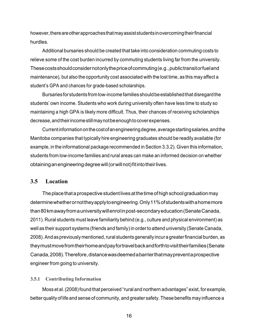however, there are other approaches that may assist students in overcoming their financial hurdles.

Additional bursaries should be created that take into consideration commuting costs to relieve some of the cost burden incurred by commuting students living far from the university. These costs should consider not only the price of commuting (e.g., public transit or fuel and maintenance), but also the opportunity cost associated with the lost time, as this may affect a student's GPA and chances for grade-based scholarships.

Bursaries for students from low-income families should be established that disregard the students' own income. Students who work during university often have less time to study so maintaining a high GPA is likely more difficult. Thus, their chances of receiving scholarships decrease, and their income still may notbe enough to cover expenses.

Current information on the cost ofan engineering degree, average starting salaries, and the Manitoba companies that typically hire engineering graduates should be readily available (for example, in the informational package recommended in Section 3.3.2). Given this information, students from low-income families and rural areas can make an informed decision on whether obtaining an engineering degree will (or will not) fit into their lives.

# **3.5 Location**

The place that a prospective student lives at the time of high school graduation may determine whether or not they apply to engineering. Only 11%of students with a home more than 80km away from a university will enrol in post-secondary education (Senate Canada, 2011). Rural students must leave familiarity behind (e.g., culture and physical environment) as well as their support systems (friends and family) in order to attend university (Senate Canada, 2008). And as previously mentioned, rural students generally incur a greater financial burden, as they must move from their home and pay for travel back and forth to visit their families (Senate Canada, 2008). Therefore, distance was deemed a barrier that may prevent a prospective engineer from going to university.

#### **3.5.1 Contributing Information**

Moss et al. (2008) found that perceived "rural and northern advantages" exist, for example, better quality of life and sense of community, and greater safety. These benefits may influence a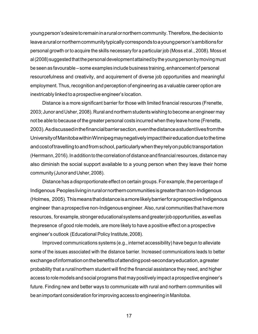young person's desire to remain in a ruralor northern community. Therefore, the decision to leave a rural ornorthern community typically corresponds to a young person's ambitions for personal growth or to acquire the skills necessary for a particular job (Moss et al., 2008). Moss et al (2008) suggested that the personal development attained by the young person by moving must be seen as favourable – some examples include business training, enhancement of personal resourcefulness and creativity, and acquirement of diverse job opportunities and meaningful employment. Thus, recognition and perception of engineering as a valuable career option are inextricably linked to a prospective engineer's location.

Distance is a more significant barrier for those with limited financial resources (Frenette, 2003; Junor and Usher, 2008). Rural and northern students wishing to become an engineer may not be able to because of the greater personal costs incurred when they leave home (Frenette, 2003). As discussed in the financial barrier section, even the distance a student lives from the University of Manitoba within Winnipeg may negatively impact their education due to the time and cost of travelling to and from school, particularly when they rely on public transportation (Herrmann, 2016). In addition to the correlation of distance and financial resources, distance may also diminish the social support available to a young person when they leave their home community (Junor and Usher, 2008).

Distance has a disproportionate effect on certain groups. For example, the percentage of Indigenous Peoples living in ruralor northern communities is greater than non-Indigenous (Holmes, 2005). This means that distance is a more likely barrier for a prospective Indigenous engineer than a prospective non-Indigenous engineer. Also, rural communities that have more resources, for example, stronger educational systems and greater job opportunities, as well as the presence of good role models, are more likely to have a positive effect on a prospective engineer's outlook (Educational Policy Institute, 2008).

Improved communications systems (e.g., internet accessibility) have begun to alleviate some of the issues associated with the distance barrier. Increased communications leads to better exchange of information on the benefits of attending post-secondary education, a greater probability that a rural/northern student will find the financial assistance they need, and higher access to role models and social programs that may positively impact a prospective engineer's future. Finding new and better ways to communicate with rural and northern communities will be an important consideration for improving access to engineering in Manitoba.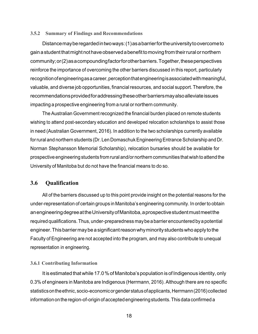#### **3.5.2 Summary of Findings and Recommendations**

Distance may be regarded in two ways: (1) as a barrier for the university to overcome to gain a student that might not have observed a benefit to moving from their rural or northern community; or (2) as a compounding factor for other barriers. Together, these perspectives reinforce the importance of overcoming the other barriers discussed in this report, particularly recognition of engineering as a career, perception that engineering is associated with meaningful, valuable, and diverse job opportunities, financial resources, and social support. Therefore, the recommendations provided for addressing these other barriers may also alleviate issues impacting a prospective engineering from a rural or northern community.

The Australian Government recognized the financial burden placed on remote students wishing to attend post-secondary education and developed relocation scholarships to assist those in need (Australian Government, 2016). In addition to the two scholarships currently available for rural and northern students (Dr. Len Domaschuk Engineering Entrance Scholarship and Dr. Norman Stephansson Memorial Scholarship), relocation bursaries should be available for prospective engineering students from rural and/or northern communities that wish to attend the University of Manitoba but do not have the financial means to do so.

## **3.6 Qualification**

All of the barriers discussed up to this point provide insight on the potential reasons for the under-representation of certain groups in Manitoba's engineering community. In order to obtain an engineering degree at the University of Manitoba, a prospective student must meet the required qualifications. Thus, under-preparedness may be a barrier encountered by a potential engineer. This barrier may be a significant reason why minority students who apply to the Faculty of Engineering are not accepted into the program, and may also contribute to unequal representation in engineering.

#### **3.6.1 Contributing Information**

It is estimated that while 17.0 % of Manitoba's population is of Indigenous identity, only 0.3% of engineers in Manitoba are Indigenous (Herrmann, 2016). Although there are no specific statistics on the ethnic, socio-economic or gender status of applicants, Herrmann (2016) collected information on the region-of-origin of accepted engineering students. This data confirmed a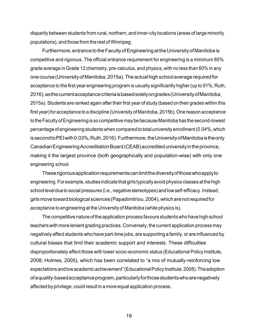disparity between students from rural, northern, and inner-city locations (areas of large minority populations), and those from the rest of Winnipeg.

Furthermore, entrance to the Faculty of Engineering at the University of Manitoba is competitive and rigorous. The official entrance requirement for engineering is a minimum 85% grade average in Grade 12 chemistry, pre-calculus, and physics, with no less than 60% in any one course (University of Manitoba, 2015a). The actual high school average required for acceptance to the first year engineering program is usually significantly higher (up to 91%; Ruth, 2016), as the current acceptance criteria is based solely on grades (University of Manitoba, 2015a). Students are ranked again after their first year of study (based on their grades within this first year) for acceptance to a discipline (University of Manitoba, 2015b). One reason acceptance to the Faculty of Engineering is so competitive may be because Manitoba has the second-lowest percentage of engineering students when compared to total university enrollment (0.04%, which is second toPEI with 0.03%; Ruth, 2016). Furthermore, the University of Manitoba is the only Canadian Engineering Accreditation Board (CEAB) accredited university in the province, making it the largest province (both geographically and population-wise) with only one engineering school.

These rigorous application requirements can limit the diversity of those who apply to engineering. For example, studies indicate that girls typically avoid physics classes at the high school level dueto social pressures (i.e., negative stereotypes) and low self-efficacy. Instead, girls move toward biological sciences (Papadimitriou, 2004), which are not required for acceptance to engineering at the University of Manitoba (while physics is).

The competitive nature of the application process favours students who have high school teachers with more lenient grading practices. Conversely, the current application process may negatively affect students who have part-time jobs, are supporting a family, or are influenced by cultural biases that limit their academic support and interests. These difficulties disproportionately affect those with lower socio-economic status (Educational Policy Institute, 2008; Holmes, 2005), which has been correlated to "a mix of mutually-reinforcing low expectations and low academic achievement" (Educational Policy Institute, 2008). The adoption of a quality-based acceptance program, particularly for those students who are negatively affected by privilege, could result in a more equal application process.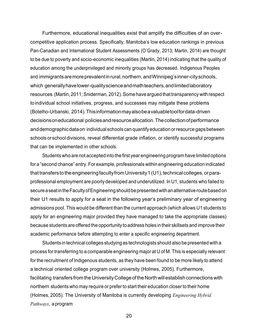Furthermore, educational inequalities exist that amplify the difficulties of an overcompetitive application process. Specifically, Manitoba's low education rankings in previous Pan-Canadian and International Student Assessments (O'Grady, 2013; Martin, 2014) are thought to be due to poverty and socio-economic inequalities (Martin, 2014) indicating that the quality of education among the underprivileged and minority groups has decreased. Indigenous Peoples and immigrants are more prevalent in rural, northern, and Winnipeg's inner-city schools, which generally have lower-quality science and math teachers, and limited laboratory resources (Martin, 2011; Sniderman, 2012). Some have argued that transparency with respect to individual school initiatives, progress, and successes may mitigate these problems (Botelho-Urbanski, 2014). This information may also be a valuable tool for data-driven decisions on educational policies and resource allocation. The collection of performance and demographic data on individual schools can quantify education or resource gaps between schools or school divisions, reveal differential grade inflation, or identify successful programs that can be implemented in other schools.

Students who are not accepted into the first year engineering program have limited options for a "second chance" entry. For example, professionals within engineering education indicated that transfers to the engineering faculty from University 1 (U1), technical colleges, orparaprofessional employment are poorly developed and underutilized. In U1, students who failed to secure a seat in the Faculty of Engineering should be presented with an alternative route based on their U1 results to apply for a seat in the following year's preliminary year of engineering admissions pool. This would be different than the current approach (which allows U1 students to apply for an engineering major provided they have managed to take the appropriate classes) because students are offered the opportunity to address holes in their skillsets and improve their academic performance before attempting to enter a specific engineering department.

Students in technical colleges studying as technologists should also be presented with a process for transferring to a comparable engineering major at U of M. This is especially relevant for the recruitment of Indigenous students, as they have been found to be more likely to attend a technical oriented college program over university (Holmes, 2005). Furthermore, facilitating transfers from the University College of the North will establish connections with northern students who may require or prefer to start their education closer to their home (Holmes, 2005). The University of Manitoba is currently developing *Engineering Hybrid Pathways*, a program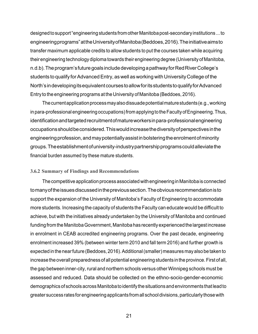designed to support "engineering students from other Manitoba post-secondary institutions ... to engineering programs" atthe University of Manitoba (Beddoes, 2016). The initiative aims to transfer maximum applicable credits to allow students to put the courses taken while acquiring their engineering technology diploma towards their engineering degree (University of Manitoba, n.d.b). The program's future goals include developing a pathway for Red River College's students to qualify for Advanced Entry, as well as working with University College of the North's in developing its equivalent courses to allow for its students to qualify for Advanced Entry to the engineering programs at the University of Manitoba (Beddoes, 2016).

The current application process may also dissuade potential mature students (e.g., working in para-professional engineering occupations) from applying to the Faculty of Engineering. Thus, identification and targeted recruitment of mature workers in para-professional engineering occupations should be considered. This would increase the diversity ofperspectives in the engineering profession, and may potentially assist in bolstering the enrolment of minority groups. The establishment of university-industry partnership programs could alleviate the financial burden assumed by these mature students.

#### **3.6.2 Summary of Findings and Recommendations**

The competitive application process associated with engineering in Manitoba is connected to many of the issues discussed in the previous section. The obvious recommendation is to support the expansion of the University of Manitoba's Faculty of Engineering to accommodate more students. Increasing the capacity of students the Faculty can educate would be difficult to achieve, but with the initiatives already undertaken by the University of Manitoba and continued funding from the Manitoba Government, Manitoba has recently experienced the largest increase in enrolment in CEAB accredited engineering programs. Over the past decade, engineering enrolment increased 39% (between winter term 2010 and fall term 2016) and further growth is expected in the near future (Beddoes, 2016). Additional (smaller) measures may also be taken to increase the overall preparedness of all potential engineering students in the province. First of all, the gap between inner-city, rural and northern schools versus other Winnipeg schools must be assessed and reduced. Data should be collected on the ethno-socio-gender-economic demographics of schools across Manitoba to identify the situations and environments that lead to greater success rates for engineering applicants from all school divisions, particularly those with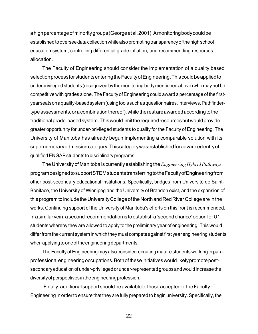a high percentage of minority groups (George et al. 2001). A monitoring body could be established to oversee data collection while also promoting transparency of the high school education system, controlling differential grade inflation, and recommending resources allocation.

The Faculty of Engineering should consider the implementation of a quality based selection process for students entering the Faculty of Engineering. This could be applied to underprivileged students (recognized by the monitoring body mentioned above) who may not be competitive with grades alone. The Faculty of Engineering could award a percentage of the firstyear seats on a quality-based system (using tools such as questionnaires, interviews, Pathfindertype assessments, or a combination thereof), while the rest are awarded according to the traditional grade-based system. This would limit the required resources butwould provide greater opportunity for under-privileged students to qualify for the Faculty of Engineering. The University of Manitoba has already begun implementing a comparable solution with its supernumerary admission category. This category was established for advanced entry of qualified ENGAP students to disciplinary programs.

The University of Manitoba is currently establishing the *Engineering Hybrid Pathways*  program designed to support STEM students transferring to the Faculty of Engineering from other post-secondary educational institutions. Specifically, bridges from Université de Saint-Boniface, the University of Winnipeg and the University of Brandon exist, and the expansion of this program to include the University College of the North and Red River College are in the works. Continuing support of the University of Manitoba's efforts on this front is recommended. In a similar vein, a second recommendation isto establish a 'second chance' option for U1 students whereby they are allowed to apply to the preliminary year of engineering. This would differ from the current system in which they must compete against first year engineering students when applying tooneof the engineering departments.

The Faculty of Engineering may also consider recruiting mature students working in paraprofessional engineering occupations. Both of these initiatives would likely promote postsecondary education of under-privileged or under-represented groups and would increase the diversity of perspectives in the engineering profession.

Finally, additional support should be available to those accepted to the Faculty of Engineering in order to ensure that they are fully prepared to begin university. Specifically, the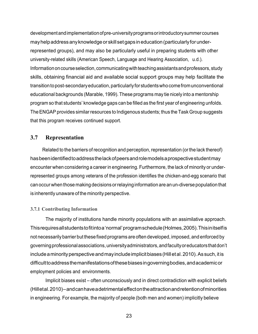development and implementation of pre-university programs or introductory summer courses may help address any knowledge or skill set gaps in education (particularly for underrepresented groups), and may also be particularly useful in preparing students with other university-related skills (American Speech, Language and Hearing Association, u.d.). Information on course selection, communicating with teaching assistants and professors, study skills, obtaining financial aid and available social support groups may help facilitate the transition to post-secondary education, particularly for students who come from unconventional educational backgrounds (Marable, 1999). These programs may tie nicely into a mentorship program so that students' knowledge gaps can be filled as the first year of engineering unfolds. The ENGAP provides similar resources to Indigenous students; thus the Task Group suggests that this program receives continued support.

# **3.7 Representation**

Related to the barriers of recognition and perception, representation (or the lack thereof) has been identified to address the lack of peers and role models a prospective student may encounter when considering a career in engineering. Furthermore, the lack of minority or underrepresented groups among veterans of the profession identifies the chicken-and-egg scenario that can occur when those making decisions or relaying information are an un-diverse population that is inherently unaware of the minority perspective.

## **3.7.1 Contributing Information**

The majority of institutions handle minority populations with an assimilative approach. This requires all students to fit into a 'normal' program schedule (Holmes, 2005). This initself is not necessarily barrier but these fixed programs are often developed, imposed, and enforced by governing professional associations, university administrators, and faculty or educators that don't include a minority perspective and may include implicit biases (Hill et al. 2010). As such, it is difficult to address the manifestations of these biases in governing bodies, and academic or employment policies and environments.

Implicit biases exist – often unconsciously and in direct contradiction with explicit beliefs (Hill et al. 2010) – and can have a detrimental effect on the attraction and retention of minorities in engineering. For example, the majority of people (both men and women) implicitly believe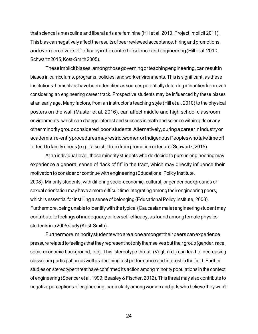that science is masculine and liberal arts are feminine (Hill et al. 2010, Project Implicit 2011). This bias can negatively affect the results ofpeer reviewed acceptance, hiring and promotions, and even perceived self-efficacy in the context of science and engineering (Hill et al. 2010, Schwartz 2015, Kost-Smith 2005).

These implicit biases, among those governing or teaching engineering, can result in biases in curriculums, programs, policies, and work environments. This is significant, as these institutions themselves have been identified as sources potentially deterring minorities from even considering an engineering career track. Prospective students may be influenced by these biases at an early age. Many factors, from an instructor's teaching style (Hill et al. 2010) to the physical posters on the wall (Master et al. 2016), can affect middle and high school classroom environments, which can change interest and success in math and science within girls or any other minority group considered 'poor' students. Alternatively, during a career in industry or academia, re-entry procedures may restrict women or Indigenous Peoples who take time off to tend to family needs (e.g., raise children) from promotion or tenure (Schwartz, 2015).

At an individual level, those minority students who do decide to pursue engineering may experience a general sense of "lack of fit" in the tract, which may directly influence their motivation to consider or continue with engineering (Educational Policy Institute, 2008). Minority students, with differing socio-economic, cultural, or gender backgrounds or sexual orientation may have a more difficult time integrating among their engineering peers, which is essential for instilling a sense of belonging (Educational Policy Institute, 2008). Furthermore, being unable to identify with the typical (Caucasian male) engineering student may contribute to feelings of inadequacy or low self-efficacy, as found among female physics students in a 2005 study (Kost-Smith).

Furthermore, minority students who are alone amongst their peers can experience pressure related to feelings that they represent not only themselves but their group (gender, race, socio-economic background, etc). This 'stereotype threat' (Vogt, n.d.) can lead to decreasing classroom participation as well as declining test performance and interest in the field. Further studies on stereotype threat have confirmed its action among minority populations in the context of engineering (Spencer et al, 1999; Beasley & Fischer, 2012). This threat may also contribute to negative perceptions of engineering, particularly among women and girls who believe they won't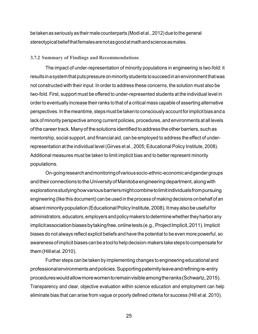be taken as seriously as their male counterparts (Modi et al., 2012) due to the general stereotypical belief that females are not as good at math and science as males.

#### **3.7.2 Summary of Findings and Recommendations**

The impact of under-representation of minority populations in engineering is two-fold: it results in a system that puts pressure on minority students to succeed inan environment that was not constructed with their input. In order to address these concerns, the solution must also be two-fold. First, support must be offered to under-represented students at the individual level in order to eventually increase their ranks to that of a critical mass capable of asserting alternative perspectives. In the meantime, steps must be taken to consciously account for implicit bias anda lack of minority perspective among current policies, procedures, and environments at all levels of the career track. Many of the solutions identified to address the other barriers, such as mentorship, social support, and financial aid, can be employed to address the effect of underrepresentation at the individual level (Girves et al., 2005; Educational Policy Institute, 2008). Additional measures must be taken to limit implicit bias and to better represent minority populations.

On-going research and monitoring of various socio-ethnic-economic and gender groups and their connections to the University of Manitoba engineering department, along with explorations studying how various barriers might combine to limit individuals from pursuing engineering (like this document) can be used in the process of making decisions on behalf of an absent minority population (Educational Policy Institute, 2008). It may also be useful for administrators, educators, employers and policy makers to determine whether they harbor any implicit association biases by taking free, online tests (e.g., Project Implicit, 2011). Implicit biases do not always reflect explicit beliefs and have the potential to be even more powerful, so awareness of implicit biases can be a tool to help decision-makers take steps to compensate for them (Hill et al. 2010).

Further steps can be taken by implementing changes to engineering educational and professional environments and policies. Supporting paternity leave and refining re-entry procedures would allow more women to remain visible among the ranks (Schwartz, 2015). Transparency and clear, objective evaluation within science education and employment can help eliminate bias that can arise from vague or poorly defined criteria for success (Hill et al. 2010).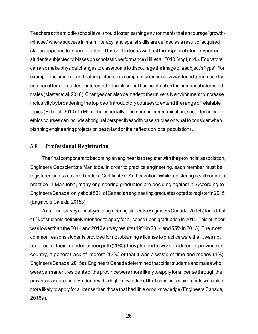Teachers at the middle school level should foster learning environments that encourage 'growthmindset' where success in math, literacy, and spatial skills are defined as a result of acquired skill as opposed to inherent talent. This shift in focus will limit the impact of stereotypes on students subjected to biases on scholastic performance (Hill et al. 2010; Vogt, n.d.). Educators can also make physical changes to classrooms to discourage the image of a subject's 'type'. For example, including art and nature pictures in a computer science class was found to increase the number of female students interested in the class, but had no effect on the number of interested males (Master et al. 2016). Changes can also be made to the university environment to increase inclusivity by broadening the topics ofintroductory courses to extend the range of relatable topics (Hill et al. 2010). In Manitoba especially, engineering communication, socio-technical or ethics courses can include aboriginal perspectives with case studies on what to consider when planning engineering projects on treaty land or their effects on local populations.

#### **3.8 Professional Registration**

The final component to becoming an engineer is to register with the provincial association, Engineers Geoscientists Manitoba. In order to practice engineering, each member must be registered unless covered under a Certificate of Authorization. While registering is still common practice in Manitoba, many engineering graduates are deciding against it. According to Engineers Canada, only about 50%of Canadian engineering graduates opted to register in 2015 (Engineers Canada, 2015b).

A national survey of final-year engineering students (Engineers Canada, 2015b) found that 46% of students definitely intended to apply for a license upon graduation in 2015. This number was lower than the 2014 and 2013 survey results (49% in 2014 and 55%in 2013). The most common reasons students provided for not obtaining a license to practice were that it was not required for their intended career path (29%), they planned towork in a different province or country, a general lack of interest (13%) or that it was a waste of time and money (4%; Engineers Canada, 2015a). Engineers Canada determined that older students and males who were permanent residents of the province were more likely to apply for a license through the provincial association. Students with a high knowledge of the licensing requirements were also more likely to apply for a license than those that had little or no knowledge (Engineers Canada, 2015a).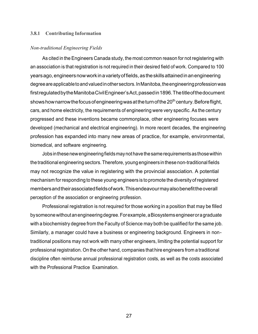#### **3.8.1 Contributing Information**

#### *Non-traditional Engineering Fields*

As cited in the Engineers Canada study, the most common reason for not registering with an association is that registration is not required in their desired field of work. Compared to 100 years ago, engineers now work ina variety of fields, as the skills attained inan engineering degree are applicable to and valued in other sectors. In Manitoba, the engineering profession was first regulated by the Manitoba Civil Engineer's Act, passed in 1896. The title of the document shows how narrow the focus of engineering was at the turn of the  $20<sup>th</sup>$  century. Before flight, cars, and home electricity, the requirements of engineering were very specific. As the century progressed and these inventions became commonplace, other engineering focuses were developed (mechanical and electrical engineering). In more recent decades, the engineering profession has expanded into many new areas of practice, for example, environmental, biomedical, and software engineering.

Jobs in these new engineering fields may not have the same requirements as those within the traditional engineering sectors. Therefore, young engineers in these non-traditional fields may not recognize the value in registering with the provincial association. A potential mechanism for responding to these young engineers is to promote the diversity of registered members and their associated fields of work. This endeavour may also benefit the overall perception of the association or engineering profession.

Professional registration is not required for those working in a position that may be filled by someone without an engineering degree. For example, a Biosystems engineer or a graduate with a biochemistry degree from the Faculty of Science may both be qualified for the same job. Similarly, a manager could have a business or engineering background. Engineers in nontraditional positions may not work with many other engineers, limiting the potential support for professional registration. On the other hand, companies that hire engineers from a traditional discipline often reimburse annual professional registration costs, as well as the costs associated with the Professional Practice Examination.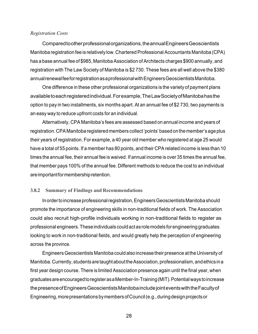#### *Registration Costs*

Compared to other professional organizations, the annual Engineers Geoscientists Manitoba registration fee is relatively low. Chartered Professional Accountants Manitoba (CPA) has a base annual fee of \$985, Manitoba Association of Architects charges \$900 annually, and registration with The Law Society of Manitoba is \$2 730. These fees are all well above the \$380 annual renewal fee for registration as a professional with Engineers Geoscientists Manitoba.

One difference in these other professional organizations is the variety of payment plans available to each registered individual. For example, The Law Society of Manitoba has the option to pay in two installments, six months apart. At an annual fee of \$2 730, two payments is an easy way to reduce upfront costs for an individual.

Alternatively, CPA Manitoba's fees are assessed based on annual income and years of registration. CPA Manitoba registered members collect 'points' based on the member's age plus their years of registration. For example, a 40 year old member who registered at age 25 would have a total of 55 points. If a member has 80 points, and their CPA related income is less than 10 times the annual fee, their annual fee is waived. If annual income is over 35 times the annual fee, that member pays 100% of the annual fee. Different methods to reduce the cost to an individual are important for membership retention.

#### **3.8.2 Summary of Findings and Recommendations**

In order to increase professional registration, Engineers Geoscientists Manitoba should promote the importance of engineering skills in non-traditional fields of work. The Association could also recruit high-profile individuals working in non-traditional fields to register as professional engineers. These individuals could act as role models for engineering graduates looking to work in non-traditional fields, and would greatly help the perception of engineering across the province.

Engineers Geoscientists Manitoba could also increase their presence at the University of Manitoba. Currently, students are taught about the Association, professionalism, and ethics ina first year design course. There is limited Association presence again until the final year, when graduates are encouraged to register as a Member-In-Training (MIT). Potential ways to increase the presence of Engineers Geoscientists Manitoba include joint events with the Faculty of Engineering, more presentations by members of Council (e.g., during design projects or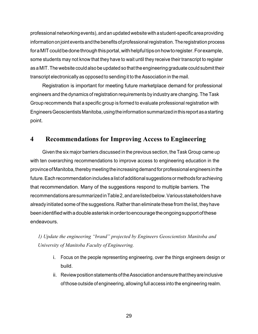professional networking events), andan updated website with a student-specific area providing information on joint events and the benefits of professional registration. The registration process for a MIT could be done through this portal, with helpful tips on how to register. For example, some students may not know that they have to wait until they receive their transcript to register as a MIT. The website could also be updated so that the engineering graduate could submit their transcript electronically as opposed to sending it to the Association in the mail.

Registration is important for meeting future marketplace demand for professional engineers and the dynamics of registration requirements by industry are changing. The Task Group recommends that a specific group is formed to evaluate professional registration with Engineers Geoscientists Manitoba, using the information summarized in this report as a starting point.

# **4 Recommendations for Improving Access to Engineering**

Given the six major barriers discussed in the previous section, the Task Group came up with ten overarching recommendations to improve access to engineering education in the province of Manitoba, thereby meeting the increasing demand for professional engineers in the future. Each recommendation includes a list of additional suggestions or methods for achieving that recommendation. Many of the suggestions respond to multiple barriers. The recommendations are summarized in Table 2,and are listed below. Various stakeholders have already initiated some of the suggestions. Rather than eliminate these from the list, they have been identified with a double asterisk in order to encourage the ongoing support of these endeavours.

*1) Update the engineering "brand" projected by Engineers Geoscientists Manitoba and University of Manitoba Faculty of Engineering.* 

- i. Focus on the people representing engineering, over the things engineers design or build.
- ii. Review position statements of the Association and ensure that they are inclusive of those outside of engineering, allowing full access into the engineering realm.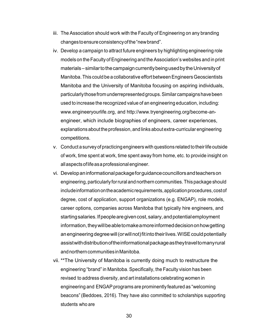- iii. The Association should work with the Faculty of Engineering on any branding changes to ensure consistency of the "new brand".
- iv. Develop a campaign to attract future engineers by highlighting engineering role models on the Faculty of Engineering and the Association's websites and in print materials – similar to the campaign currently being used by the University of Manitoba. This could be a collaborative effort between Engineers Geoscientists Manitoba and the University of Manitoba focusing on aspiring individuals, particularly those from underrepresented groups. Similar campaigns have been used to increase the recognized value of an engineering education, including: [www.engineeryourlife.org,](http://www.engineeryourlife.org/) and [http://www.tryengineering.org/become-an](http://www.tryengineering.org/become-an-)engineer, which include biographies of engineers, career experiences, explanations about the profession, and links about extra-curricular engineering competitions.
- v. Conduct a survey of practicing engineers with questions related to their life outside of work, time spent at work, time spent away from home, etc. to provide insight on all aspects of life as a professional engineer.
- vi. Develop an informational package for guidance councillors and teachers on engineering, particularly for rural and northern communities. This package should include information on the academic requirements, application procedures, cost of degree, cost of application, support organizations (e.g. ENGAP), role models, career options, companies across Manitoba that typically hire engineers, and starting salaries. If people are given cost, salary, and potential employment information, they will be able to make a more informed decision onhow getting an engineering degree will (or will not) fit into their lives. WISE could potentially assist with distribution of the informational package as they travel to many rural and northern communities in Manitoba.
- vii. \*\*The University of Manitoba is currently doing much to restructure the engineering "brand" in Manitoba. Specifically, the Faculty vision has been revised to address diversity, and art installations celebrating women in engineering and ENGAP programs are prominently featured as "welcoming beacons" (Beddoes, 2016). They have also committed to scholarships supporting students who are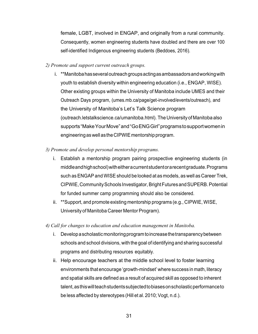female, LGBT, involved in ENGAP, and originally from a rural community. Consequently, women engineering students have doubled and there are over 100 self-identified Indigenous engineering students (Beddoes, 2016).

- *2) Promote and support current outreach groups.* 
	- i. \*\*Manitoba has several outreach groups acting as ambassadors and working with youth to establish diversity within engineering education (i.e., ENGAP, WISE). Other existing groups within the University of Manitoba include UMES and their Outreach Days program, (umes.mb.ca/page/get-involved/events/outreach), and the University of Manitoba's Let's Talk Science program (outreach.letstalkscience.ca/umanitoba.html). The University of Manitoba also supports "Make Your Move" and "Go ENG Girl" programs to support women in engineering as well as the CIPWIE mentorship program.
- *3) Promote and develop personal mentorship programs.* 
	- i. Establish a mentorship program pairing prospective engineering students (in middle and high school) with either a current student or a recent graduate. Programs such as ENGAP and WISE should be looked at as models, as well as Career Trek, CIPWIE, Community Schools Investigator, Bright Futures and SUPERB. Potential for funded summer camp programming should also be considered.
	- ii. \*\*Support, and promote existing mentorship programs (e.g., CIPWIE, WISE, University of Manitoba Career Mentor Program).
- *4) Call for changes to education and education management in Manitoba.* 
	- i. Develop a scholastic monitoring program to increase the transparency between schools and school divisions, with the goal of identifying and sharing successful programs and distributing resources equitably.
	- ii. Help encourage teachers at the middle school level to foster learning environments that encourage 'growth-mindset' where success in math, literacy and spatial skills are defined as a result of acquired skill as opposed to inherent talent, as this will teach students subjected to biases on scholastic performance to be less affected by stereotypes (Hill et al. 2010; Vogt, n.d.).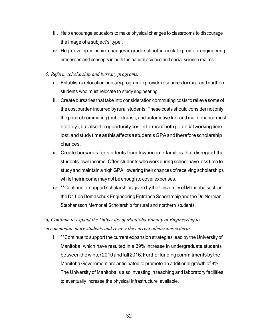- iii. Help encourage educators to make physical changes to classrooms to discourage the image of a subject's 'type'.
- iv. Help develop or inspire changes in grade school curricula to promote engineering processes and concepts in both the natural science and social science realms.

## *5) Reform scholarship and bursary programs.*

- i. Establish a relocation bursary program to provide resources for rural and northern students who must relocate to study engineering.
- ii. Create bursaries that take into consideration commuting costs to relieve some of the cost burden incurred by rural students. These costs should consider not only the price of commuting (public transit; and automotive fuel and maintenance most notably), but also the opportunity cost in terms of both potential working time lost, and study time as this affects a student's GPA and therefore scholarship chances.
- iii. Create bursaries for students from low-income families that disregard the students' own income. Often students who work during school have less time to study and maintain a high GPA, lowering their chances of receiving scholarships while their income may not be enough to cover expenses.
- iv. \*\*Continue to support scholarships given by the University of Manitoba such as the Dr. Len Domaschuk Engineering Entrance Scholarship and the Dr. Norman Stephansson Memorial Scholarship for rural and northern students.

# *6) Continue to expand the University of Manitoba Faculty of Engineering to accommodate more students and review the current admissions criteria.*

i. \*\*Continue to support the current expansion strategies lead by the University of Manitoba, which have resulted in a 39% increase in undergraduate students between the winter 2010 and fall 2016. Further funding commitments bythe Manitoba Government are anticipated to promote an additional growth of 8%. The University of Manitoba is also investing in teaching and laboratory facilities to eventually increase the physical infrastructure available.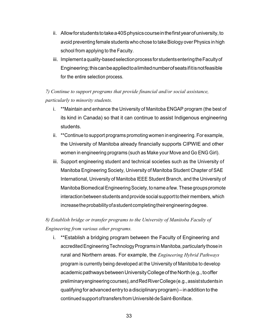- ii. Allow for students to take a 40S physics course in the first year of university, to avoid preventing female students who chose to take Biology over Physics in high school from applying to the Faculty.
- iii. Implement a quality-based selection process for students entering the Faculty of Engineering; this can be applied to a limited number ofseats ifitis not feasible for the entire selection process.

# *7) Continue to support programs that provide financial and/or social assistance, particularly to minority students.*

- i. \*\*Maintain and enhance the University of Manitoba ENGAP program (the best of its kind in Canada) so that it can continue to assist Indigenous engineering students.
- ii. \*\*Continue to support programs promoting women in engineering. For example, the University of Manitoba already financially supports CIPWIE and other women in engineering programs (such as Make your Move and Go ENG Girl).
- iii. Support engineering student and technical societies such as the University of Manitoba Engineering Society, University of Manitoba Student Chapter of SAE International, University of Manitoba IEEE Student Branch, and the University of Manitoba Biomedical Engineering Society, to name a few. These groups promote interaction between students and provide social support to their members, which increase the probability of a student completing their engineering degree.

# *8) Establish bridge or transfer programs to the University of Manitoba Faculty of Engineering from various other programs.*

i. \*\*Establish a bridging program between the Faculty of Engineering and accredited Engineering Technology Programs in Manitoba, particularly those in rural and Northern areas. For example, the *Engineering Hybrid Pathways*  program is currently being developed at the University of Manitoba to develop academic pathways between University College of the North (e.g., to offer preliminary engineering courses), and Red River College (e.g., assist students in qualifying for advanced entry to a disciplinary program) – in addition to the continued support of transfers from Université de Saint-Boniface.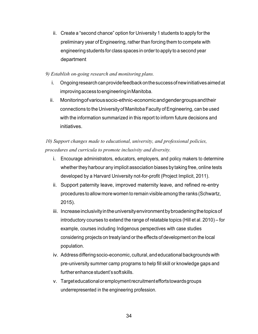ii. Create a "second chance" option for University 1 students to apply for the preliminary year of Engineering, rather than forcing them to compete with engineering students for class spaces in order to apply to a second year department

## *9) Establish on-going research and monitoring plans.*

- i. Ongoing research can provide feedback on the success ofnew initiatives aimed at improving access to engineering in Manitoba.
- ii. Monitoring of various socio-ethnic-economic and gender groups and their connections to the University of Manitoba Faculty of Engineering, can be used with the information summarized in this report to inform future decisions and initiatives.

*10) Support changes made to educational, university, and professional policies, procedures and curricula to promote inclusivity and diversity.* 

- i. Encourage administrators, educators, employers, and policy makers to determine whether they harbour any implicit association biases by taking free, online tests developed by a Harvard University not-for-profit (Project Implicit, 2011).
- ii. Support paternity leave, improved maternity leave, and refined re-entry procedures to allow more women to remain visible among the ranks (Schwartz, 2015).
- iii. Increase inclusivity in the university environment by broadening the topics of introductory courses to extend the range of relatable topics (Hill et al. 2010) – for example, courses including Indigenous perspectives with case studies considering projects on treaty land or the effects of development on the local population.
- iv. Address differing socio-economic, cultural, and educational backgrounds with pre-university summer camp programs to help fill skill or knowledge gaps and further enhance student's soft skills.
- v. Target educational or employment recruitment efforts towards groups underrepresented in the engineering profession.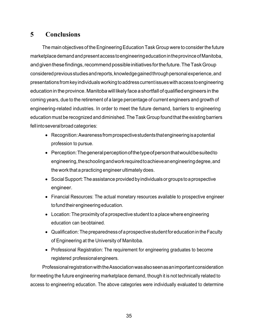# **5 Conclusions**

The main objectives of the Engineering Education Task Group were to consider the future marketplace demand and present access to engineering education in the province of Manitoba, and given these findings, recommend possible initiatives for the future. The Task Group considered previous studies and reports, knowledge gained through personal experience, and presentations from key individuals working to address current issues with access to engineering education in the province. Manitoba will likely face a shortfall of qualified engineers in the coming years, due to the retirement of a large percentage of current engineers and growth of engineering-related industries. In order to meet the future demand, barriers to engineering education must be recognized and diminished. The Task Group found that the existing barriers fell into several broad categories:

- Recognition: Awareness from prospective students that engineering is a potential profession to pursue.
- Perception: The general perception ofthe type of person that would be suited to engineering, the schooling and work required to achieve an engineering degree, and the work that a practicing engineer ultimately does.
- Social Support: The assistance provided by individuals or groups to a prospective engineer.
- Financial Resources: The actual monetary resources available to prospective engineer to fund their engineering education.
- Location: The proximity of a prospective student to a place where engineering education can be obtained.
- Qualification: The preparedness of a prospective student for education in the Faculty of Engineering at the University of Manitoba.
- Professional Registration: The requirement for engineering graduates to become registered professional engineers.

Professional registration with the Association was also seen asan important consideration for meeting the future engineering marketplace demand, though it is not technically related to access to engineering education. The above categories were individually evaluated to determine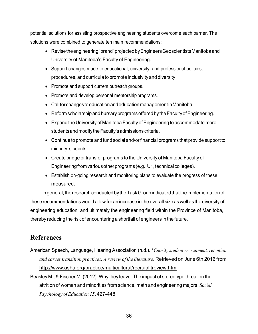potential solutions for assisting prospective engineering students overcome each barrier. The solutions were combined to generate ten main recommendations:

- Revise the engineering "brand" projected by Engineers Geoscientists Manitoba and University of Manitoba's Faculty of Engineering.
- Support changes made to educational, university, and professional policies, procedures, and curricula to promote inclusivity and diversity.
- Promote and support current outreach groups.
- Promote and develop personal mentorship programs.
- Call for changes to education and education management in Manitoba.
- Reform scholarship and bursary programs offered by the Faculty of Engineering.
- Expand the University of Manitoba Faculty of Engineering to accommodate more students and modify the Faculty's admissions criteria.
- Continue to promote and fund social and/or financial programs that provide support to minority students.
- Create bridge or transfer programs to the University of Manitoba Faculty of Engineering from various other programs (e.g., U1, technical colleges).
- Establish on-going research and monitoring plans to evaluate the progress of these measured.

In general, the research conducted by the Task Group indicated that the implementation of these recommendations would allow for an increase in the overall size as well as the diversity of engineering education, and ultimately the engineering field within the Province of Manitoba, thereby reducing the risk of encountering a shortfall of engineers in the future.

# **References**

- American Speech, Language, Hearing Association (n.d.). *Minority student recruitment, retention and career transition practices: A review of the literature*. Retrieved on June 6th 2016 from <http://www.asha.org/practice/multicultural/recruit/litreview.htm>
- Beasley M., & Fischer M. (2012). Why they leave: The impact of stereotype threat on the attrition of women and minorities from science, math and engineering majors. *Social Psychology of Education 15*, 427-448.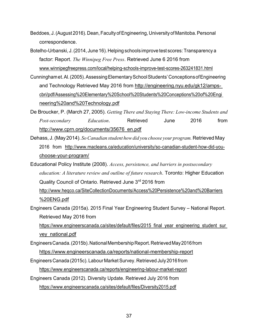- Beddoes, J. (August 2016). Dean, Faculty of Engineering, University of Manitoba. Personal correspondence.
- Botelho-Urbanski, J. (2014, June 16). Helping schools improve test scores: Transparency a factor: Report. *The Winnipeg Free Press*. Retrieved June 6 2016 from [www.winnipegfreepress.com/local/helping-schools-improve-test-scores-263241831.html](http://www.winnipegfreepress.com/local/helping-schools-improve-test-scores-263241831.html)
- Cunningham et. Al. (2005). Assessing Elementary School Students' Conceptions of Engineering and Technology Retrieved May 2016 from [http://engineering.nyu.edu/gk12/amps](http://engineering.nyu.edu/gk12/amps-)cbri/pdf/Assessing%20Elementary%20School%20Students%20Conceptions%20of%20Engi neering%20and%20Technology.pdf
- De Broucker, P. (March 27, 2005). *Getting There and Staying There: Low-income Students and Post-secondary Education*. Retrieved June 2016 from [http://www.cprn.org/documents/35676\\_en.pdf](http://www.cprn.org/documents/35676_en.pdf)
- Dehass, J. (May 2014). *So Canadian student how did you choose your program.* Retrieved May 2016 from [http://www.macleans.ca/education/university/so-canadian-student-how-did-you](http://www.macleans.ca/education/university/so-canadian-student-how-did-you-)choose-your-program/
- Educational Policy Institute (2008). *Access, persistence, and barriers in postsecondary education: A literature review and outline of future research*. Toronto: Higher Education Quality Council of Ontario. Retrieved June 3rd 2016 from [http://www.heqco.ca/SiteCollectionDocuments/Access%20Persistence%20and%20Barriers](http://www.heqco.ca/SiteCollectionDocuments/Access%20Persistence%20and%20Barriers%20ENG.pdf) [%20ENG.pdf](http://www.heqco.ca/SiteCollectionDocuments/Access%20Persistence%20and%20Barriers%20ENG.pdf)
- Engineers Canada (2015a). 2015 Final Year Engineering Student Survey National Report. Retrieved May 2016 from

https://www.engineerscanada.ca/sites/default/files/2015 final\_year\_engineering\_student\_sur vey national.pdf

- Engineers Canada. (2015b). National Membership Report. Retrieved May 2016 from https:[//www.engineerscanada.ca/reports/national-membership-report](http://www.engineerscanada.ca/reports/national-membership-report)
- Engineers Canada (2015c). Labour Market Survey. Retrieved July 2016 from https:[//www.engineerscanada.ca/reports/engineering-labour-market-report](http://www.engineerscanada.ca/reports/engineering-labour-market-report)
- Engineers Canada (2012). Diversity Update. Retrieved July 2016 from

https:[//www.engineerscanada.ca/sites/default/files/Diversity2015.pdf](http://www.engineerscanada.ca/sites/default/files/Diversity2015.pdf)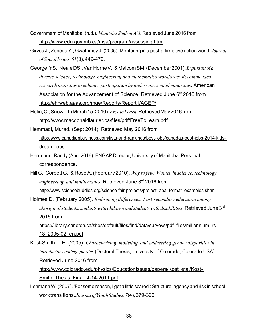- Government of Manitoba. (n.d.). *Manitoba Student Aid*. Retrieved June 2016 from <http://www.edu.gov.mb.ca/msa/program/assessing.html>
- Girves J., Zepeda Y., Gwathmey J. (2005). Mentoring in a post-affirmative action world. *Journal of Social Issues, 61*(3), 449-479.
- George, YS., Neale DS., Van Horne V., & Malcom SM. (December 2001). *Inpursuit of a diverse science, technology, engineering and mathematics workforce: Recommended research priorities to enhance participation by underrepresented minorities*. American Association for the Advancement of Science. Retrieved June 6<sup>th</sup> 2016 from <http://ehrweb.aaas.org/mge/Reports/Report1/AGEP/>
- Helin, C., Snow, D. (March 15, 2010). *Free to Learn*. Retrieved May 2016 from <http://www.macdonaldlaurier.ca/files/pdf/FreeToLearn.pdf>
- Hemmadi, Murad. (Sept 2014). Retrieved May 2016 from [http://www.canadianbusiness.com/lists-and-rankings/best-jobs/canadas-best-jobs-2014-kids](http://www.canadianbusiness.com/lists-and-rankings/best-jobs/canadas-best-jobs-2014-kids-)dream-jobs
- Herrmann, Randy (April 2016). ENGAP Director, University of Manitoba. Personal correspondence.
- Hill C., Corbett C., & Rose A. (February 2010). *Why so few? Women in science, technology, engineering, and mathematics.* Retrieved June 3rd 2016 from [http://www.sciencebuddies.org/science-fair-projects/project\\_apa\\_format\\_examples.shtml](http://www.sciencebuddies.org/science-fair-projects/project_apa_format_examples.shtml)
- Holmes D. (February 2005). *Embracing differences: Post-secondary education among aboriginal students, students with children and students with disabilities*. Retrieved June 3rd 2016 from

[https://library.carleton.ca/sites/default/files/find/data/surveys/pdf\\_files/millennium\\_rs-](https://library.carleton.ca/sites/default/files/find/data/surveys/pdf_files/millennium_rs-18_2005-02_en.pdf)[18\\_2005-02\\_en.pdf](https://library.carleton.ca/sites/default/files/find/data/surveys/pdf_files/millennium_rs-18_2005-02_en.pdf)

Kost-Smith L. E. (2005). *Characterizing, modeling, and addressing gender disparities in introductory college physics* (Doctoral Thesis, University of Colorado, Colorado USA). Retrieved June 2016 from [http://www.colorado.edu/physics/EducationIssues/papers/Kost\\_etal/Kost-](http://www.colorado.edu/physics/EducationIssues/papers/Kost_etal/Kost-Smith_Thesis_Final_4-14-2011.pdf)

[Smith\\_Thesis\\_Final\\_4-14-2011.pdf](http://www.colorado.edu/physics/EducationIssues/papers/Kost_etal/Kost-Smith_Thesis_Final_4-14-2011.pdf)

Lehmann W. (2007). 'For some reason, I get a little scared': Structure, agency and risk in schoolwork transitions. *Journal of Youth Studies, 7*(4), 379-396.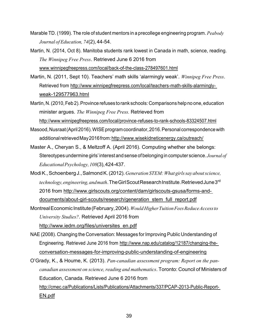- Marable TD. (1999). The role of student mentors in a precollege engineering program. *Peabody Journal of Education, 74*(2), 44-54.
- Martin, N. (2014, Oct 8). Manitoba students rank lowest in Canada in math, science, reading. *The Winnipeg Free Press*. Retrieved June 6 2016 from [www.winnipegfreepress.com/local/back-of-the-class-278497601.html](http://www.winnipegfreepress.com/local/back-of-the-class-278497601.html)
- Martin, N. (2011, Sept 10). Teachers' math skills 'alarmingly weak'. *Winnipeg Free Press*. Retrieved from [http://www.winnipegfreepress.com/local/teachers-math-skills-alarmingly](http://www.winnipegfreepress.com/local/teachers-math-skills-alarmingly-weak-129577963.html)[weak-129577963.html](http://www.winnipegfreepress.com/local/teachers-math-skills-alarmingly-weak-129577963.html)
- Martin, N. (2010, Feb 2). Province refuses to rank schools: Comparisons help no one, education minister argues. *The Winnipeg Free Press.* Retrieved from <http://www.winnipegfreepress.com/local/province-refuses-to-rank-schools-83324507.html>
- Masood, Nusraat (April 2016). WISE program coordinator, 2016. Personal correspondence with additional retrieved May 2016 from[: http://www.wisekidneticenergy.ca/outreach/](http://www.wisekidneticenergy.ca/outreach/)
- Master A., Cheryan S., & Meltzoff A. (April 2016). Computing whether she belongs: Stereotypes undermine girls' interest and sense of belonging in computer science. *Journal of Educational Psychology, 108*(3),424-437.
- Modi K., Schoenberg J., Salmond K. (2012). *Generation STEM: What girls say about science, technology, engineering, and math*. The Girl Scout Research Institute. Retrieved June 3rd 2016 from [http://www.girlscouts.org/content/dam/girlscouts-gsusa/forms-and](http://www.girlscouts.org/content/dam/girlscouts-gsusa/forms-and-documents/about-girl-scouts/research/generation_stem_full_report.pdf)[documents/about-girl-scouts/research/generation\\_stem\\_full\\_report.pdf](http://www.girlscouts.org/content/dam/girlscouts-gsusa/forms-and-documents/about-girl-scouts/research/generation_stem_full_report.pdf)
- Montreal Economic Institute (February,2004). *Would Higher Tuition Fees Reduce Access to University Studies?*. Retrieved April 2016 from [http://www.iedm.org/files/universites\\_en.pdf](http://www.iedm.org/files/universites_en.pdf)
- NAE (2008). Changing the Conversation: Messages for Improving Public Understanding of Engineering. Retrieved June 2016 from [http://www.nap.edu/catalog/12187/changing-the](http://www.nap.edu/catalog/12187/changing-the-)conversation-messages-for-improving-public-understanding-of-engineering
- O'Grady, K., & Houme, K. (2013). *Pan-canadian assessment program: Report on the pancanadian assessment on science, reading and mathematics*. Toronto: Council of Ministers of Education, Canada. Retrieved June 6 2016 from [http://cmec.ca/Publications/Lists/Publications/Attachments/337/PCAP-2013-Public-Report-](http://cmec.ca/Publications/Lists/Publications/Attachments/337/PCAP-2013-Public-Report-EN.pdf)[EN.pdf](http://cmec.ca/Publications/Lists/Publications/Attachments/337/PCAP-2013-Public-Report-EN.pdf)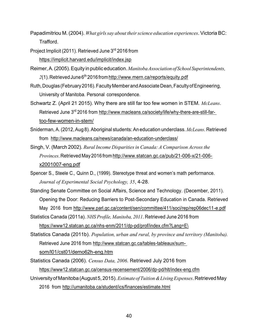- Papadimitriou M. (2004). *What girls say about their science education experiences*. Victoria BC: Trafford.
- Project Implicit (2011). Retrieved June 3rd 2016 from <https://implicit.harvard.edu/implicit/index.jsp>
- Reimer, A. (2005). Equity in public education. *Manitoba Association of School Superintendents,*  2(1). Retrieved June 6<sup>th</sup> 2016 fro[m http://www.mern.ca/reports/equity.pdf](http://www.mern.ca/reports/equity.pdf)
- Ruth, Douglas (February 2016). Faculty Member and Associate Dean, Faculty of Engineering, University of Manitoba. Personal correspondence.
- Schwartz Z. (April 21 2015). Why there are still far too few women in STEM. *McLeans*. Retrieved June 3<sup>rd</sup> 2016 from [http://www.macleans.ca/society/life/why-there-are-still-far](http://www.macleans.ca/society/life/why-there-are-still-far-too-few-women-in-stem/)[too-few-women-in-stem/](http://www.macleans.ca/society/life/why-there-are-still-far-too-few-women-in-stem/)
- Sniderman, A. (2012, Aug 8). Aboriginal students: An education underclass. *McLeans*. Retrieved from <http://www.macleans.ca/news/canada/an-education-underclass/>
- Singh, V. (March 2002). *Rural Income Disparities in Canada: A Comparison Across the Provinces*. Retrieved May 2016 fro[m http://www.statcan.gc.ca/pub/21-006-x/21-006](http://www.statcan.gc.ca/pub/21-006-x/21-006-x2001007-eng.pdf) [x2001007-eng.pdf](http://www.statcan.gc.ca/pub/21-006-x/21-006-x2001007-eng.pdf)
- Spencer S., Steele C., Quinn D., (1999). Stereotype threat and women's math performance. *Journal of Experimental Social Psychology, 35*, 4-28.
- Standing Senate Committee on Social Affairs, Science and Technology. (December, 2011). Opening the Door: Reducing Barriers to Post-Secondary Education in Canada. Retrieved May 2016 from<http://www.parl.gc.ca/content/sen/committee/411/soci/rep/rep06dec11-e.pdf>
- Statistics Canada (2011a). *NHS Profile, Manitoba, 2011*. Retrieved June 2016 from https://www12.statcan.gc.ca/nhs-enm/2011/dp-pd/prof/index.cfm?Lang=E\
- Statistics Canada (2011b). *Population, urban and rural, by province and territory (Manitoba).*  Retrieved June 2016 from [http://www.statcan.gc.ca/tables-tableaux/sum](http://www.statcan.gc.ca/tables-tableaux/sum-som/l01/cst01/demo62h-eng.htm)[som/l01/cst01/demo62h-eng.htm](http://www.statcan.gc.ca/tables-tableaux/sum-som/l01/cst01/demo62h-eng.htm)
- Statistics Canada (2006). *Census Data, 2006*. Retrieved July 2016 from https://www12.statcan.gc.ca/census-recensement/2006/dp-pd/hlt/index-eng.cfm
- University of Manitoba (August 5, 2015). *Estimate of Tuition & Living Expenses*. Retrieved May 2016 from<http://umanitoba.ca/student/ics/finances/estimate.html>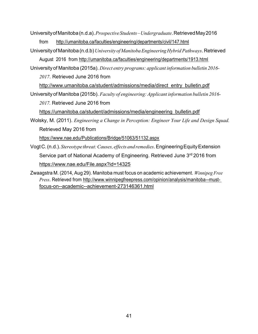University of Manitoba (n.d.a). *Prospective Students – Undergraduate*. Retrieved May 2016 from <http://umanitoba.ca/faculties/engineering/departments/civil/147.html>

University of Manitoba (n.d.b) *University of Manitoba Engineering Hybrid Pathways*. Retrieved August 2016 from<http://umanitoba.ca/faculties/engineering/departments/1913.html>

University of Manitoba (2015a). *Direct entry programs: applicant information bulletin 2016- 2017*. Retrieved June 2016 from

[http://www.umanitoba.ca/student/admissions/media/direct\\_entry\\_bulletin.pdf](http://www.umanitoba.ca/student/admissions/media/direct_entry_bulletin.pdf) University of Manitoba (2015b). *Faculty of engineering: Applicant information bulletin 2016-* 

*2017.* Retrieved June 2016 from

[https://umanitoba.ca/student/admissions/media/engineering\\_bulletin.pdf](https://umanitoba.ca/student/admissions/media/engineering_bulletin.pdf)

Wolsky, M. (2011). *Engineering a Change in Perception: Engineer Your Life and Design Squad.*  Retrieved May 2016 from

https:[//www.nae.edu/Publications/Bridge/51063/51132.aspx](http://www.nae.edu/Publications/Bridge/51063/51132.aspx)

Vogt C. (n.d.). *Stereotype threat: Causes, effects and remedies*. Engineering Equity Extension Service part of National Academy of Engineering. Retrieved June 3<sup>rd</sup> 2016 from <https://www.nae.edu/File.aspx?id=14325>

Zwaagstra M. (2014, Aug 29). Manitoba must focus on academic achievement. *Winnipeg Free Press*. Retrieved from [http://www.winnipegfreepress.com/opinion/analysis/manitoba--must](http://www.winnipegfreepress.com/opinion/analysis/manitoba--must-focus-on--academic--achievement-273146361.html)[focus-on--academic--achievement-273146361.html](http://www.winnipegfreepress.com/opinion/analysis/manitoba--must-focus-on--academic--achievement-273146361.html)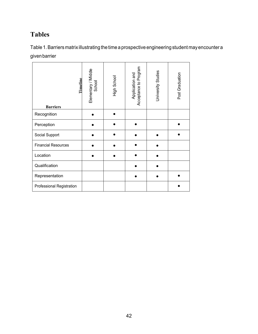# **Tables**

Table 1. Barriers matrix illustrating the time a prospective engineering student may encounter a given barrier

| Elementary / Middle<br>School | High School | Acceptance to Program<br>Application and | University Studies | Post Graduation |
|-------------------------------|-------------|------------------------------------------|--------------------|-----------------|
|                               |             |                                          |                    |                 |
|                               |             |                                          |                    |                 |
|                               |             |                                          |                    |                 |
|                               |             |                                          |                    |                 |
|                               |             |                                          |                    |                 |
|                               |             |                                          |                    |                 |
|                               |             |                                          |                    |                 |
|                               |             |                                          |                    |                 |
|                               | Timeline    |                                          |                    |                 |